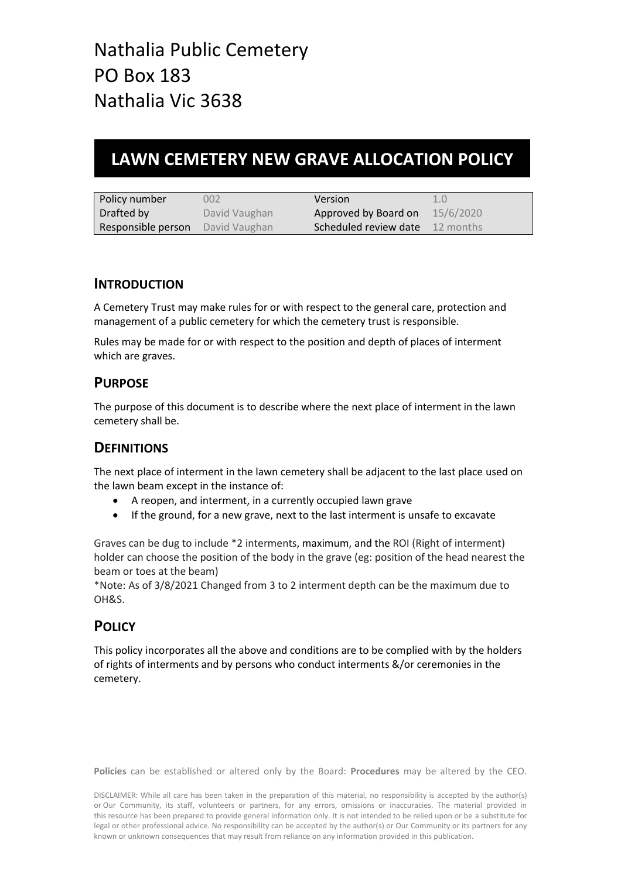## **LAWN CEMETERY NEW GRAVE ALLOCATION POLICY**

| Policy number      | 002           | Version                                | 1.0       |
|--------------------|---------------|----------------------------------------|-----------|
| Drafted by         | David Vaughan | Approved by Board on                   | 15/6/2020 |
| Responsible person | David Vaughan | <b>Scheduled review date</b> 12 months |           |

#### **INTRODUCTION**

A Cemetery Trust may make rules for or with respect to the general care, protection and management of a public cemetery for which the cemetery trust is responsible.

Rules may be made for or with respect to the position and depth of places of interment which are graves.

### **PURPOSE**

The purpose of this document is to describe where the next place of interment in the lawn cemetery shall be.

### **DEFINITIONS**

The next place of interment in the lawn cemetery shall be adjacent to the last place used on the lawn beam except in the instance of:

- A reopen, and interment, in a currently occupied lawn grave
- If the ground, for a new grave, next to the last interment is unsafe to excavate

Graves can be dug to include \*2 interments, maximum, and the ROI (Right of interment) holder can choose the position of the body in the grave (eg: position of the head nearest the beam or toes at the beam)

\*Note: As of 3/8/2021 Changed from 3 to 2 interment depth can be the maximum due to OH&S.

### **POLICY**

This policy incorporates all the above and conditions are to be complied with by the holders of rights of interments and by persons who conduct interments &/or ceremonies in the cemetery.

**Policies** can be established or altered only by the Board: **Procedures** may be altered by the CEO.

DISCLAIMER: While all care has been taken in the preparation of this material, no responsibility is accepted by the author(s) or Our Community, its staff, volunteers or partners, for any errors, omissions or inaccuracies. The material provided in this resource has been prepared to provide general information only. It is not intended to be relied upon or be a substitute for legal or other professional advice. No responsibility can be accepted by the author(s) or Our Community or its partners for any known or unknown consequences that may result from reliance on any information provided in this publication.